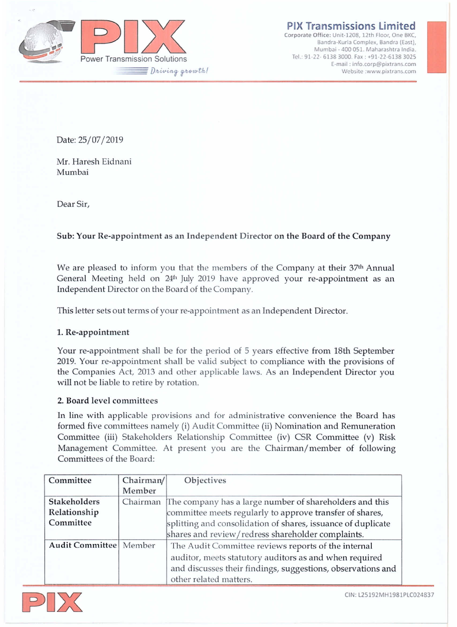

**PIX Transmissions limited**

**Corporate OHice: Unit-120B, 12th Floor, One BKe, Bandra-Kurla Complex, Bandra (East), Mumbai - 400 051. Maharashtra India.** Tel.: 91-22- 6138 3000. Fax: +91-22-6138 3025 **E-mail: [info.corp@pixtrans.com](mailto:info.corp@pixtrans.com) ISSIONS Limited**<br> **:** 1208, 12th Floor, One BKC,<br>
turla Complex, Bandra (East),<br>
400 051. Maharashtra India.<br>
2000. Fax : +91-22-6138 3025<br>
ail : info.corp@pixtrans.com<br>
Website [:www.pixtrans.com](http://:www.pixtrans.com)

Date: 25/07/2019

Mr. Haresh Eidnani Mumbaj

Dear Sir,

# Sub: Your Re-appointment as an Independent Director on the Board of the Company

We are pleased to inform you that the members of the Company at their 37th Annual General Meeting held on 24<sup>th</sup> July 2019 have approved your re-appointment as an Independent Director on the Board of the Company.

This letter sets out terms of your re-appointment as an Independent Director.

## 1. Re-appointment

Your re-appointment shall be for the period of 5 years effective from 18th September 2019. Your re-appointment shall be valid subject to compliance with the provisions of the Companies Act, 2013 and other applicable laws. As an Independent Director you will not be liable to retire by rotation.

## 2. Board level committees

In line with applicable provisions and for administrative convenience the Board has formed five committees namely (i) Audit Committee (ii) Nomination and Remuneration Committee (iii) Stakeholders Relationship Comntittee (iv) CSR Comntittee *(v)* R.isk Management Comntittee. At present you are the Chairman/member of following Committees of the Board:

| Committee                | Chairman/ | Objectives                                                   |
|--------------------------|-----------|--------------------------------------------------------------|
|                          | Member    |                                                              |
| <b>Stakeholders</b>      | Chairman  | The company has a large number of shareholders and this      |
| Relationship             |           | committee meets regularly to approve transfer of shares,     |
| Committee                |           | splitting and consolidation of shares, issuance of duplicate |
|                          |           | shares and review/redress shareholder complaints.            |
| Audit Committee   Member |           | The Audit Committee reviews reports of the internal          |
|                          |           | auditor, meets statutory auditors as and when required       |
|                          |           | and discusses their findings, suggestions, observations and  |
|                          |           | other related matters.                                       |



CIN: L25192MH1981PLC024837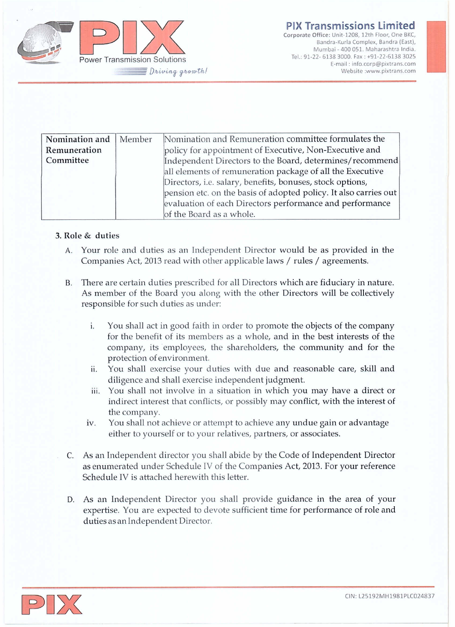

**Corporate Office: Unit-120B, 12th Floor, One BKe, Bandra-Kurla Complex, Sandra (East), Mumbai - 400 051. Maharashtra India.** Tel: 91-22- 6138 3000. Fax: +91·22·6138 3025 **E-mail: [info.corp@pixtrans.com](mailto:info.corp@pixtrans.com) ISSIONS Limited**<br> **I**-1208, 12th Floor, One BKC,<br>
Iurla Complex, Bandra (East),<br>
400 051. Maharashtra India.<br>
200. Fax : +91-22-6138 3025<br>
ail : info.corp@pixtrans.com<br>
Website [:www.pixtrans.com](http://:www.pixtrans.com)

| Nomination and<br>Remuneration<br>Committee | Member | Nomination and Remuneration committee formulates the<br>policy for appointment of Executive, Non-Executive and<br>Independent Directors to the Board, determines/recommend<br>all elements of remuneration package of all the Executive<br>Directors, i.e. salary, benefits, bonuses, stock options,<br>pension etc. on the basis of adopted policy. It also carries out<br>evaluation of each Directors performance and performance |
|---------------------------------------------|--------|--------------------------------------------------------------------------------------------------------------------------------------------------------------------------------------------------------------------------------------------------------------------------------------------------------------------------------------------------------------------------------------------------------------------------------------|
|                                             |        | of the Board as a whole.                                                                                                                                                                                                                                                                                                                                                                                                             |

## 3. Role & duties

- A. Your role and duties as an Independent Director would be as provided in the Companies Act, 2013 read with other applicable laws / rules / agreements.
- B. There are certain duties prescribed for all Directors which are fiduciary in nature. As member of the Board you along with the other Directors will be collectively responsible for such duties as under:
	- i. You shall act in good faith in order to promote the objects of the company for the benefit of its members as a whole, and in the best interests of the company, its employees, the shareholders, the community and for the protection of environment.
	- ii. You *shall* exercise your duties with due and reasonable care, skill and diligence and shall exercise independent judgment.
	- iii. You shall not involve in a situation in which you may have a direct or indirect interest that conflicts, or possibly may conflict, with the interest of the company.
	- iv. You shall not achieve or attempt to achieve any undue gain or advantage either to yourself or to your relatives, partners, or associates.
- C. As an Independent director you shall abide by the Code of Independent Directo as enumerated under Schedule IV of the Companies Act, 2013. For your reference Schedule IV is attached herewith this letter.
- D. As an Independent Director you shall provide guidance in the area of your expertise. You are expected to devote sufficient time for performance of role and duties as an Independent Director.